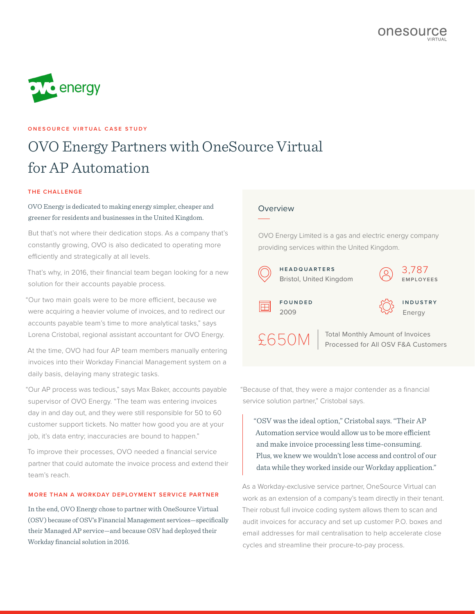

## **ONESOURCE VIRTUAL CASE STUDY**

# OVO Energy Partners with OneSource Virtual for AP Automation

#### **THE CHALLENGE**

# OVO Energy is dedicated to making energy simpler, cheaper and greener for residents and businesses in the United Kingdom.

But that's not where their dedication stops. As a company that's constantly growing, OVO is also dedicated to operating more efficiently and strategically at all levels.

That's why, in 2016, their financial team began looking for a new solution for their accounts payable process.

"Our two main goals were to be more efficient, because we were acquiring a heavier volume of invoices, and to redirect our accounts payable team's time to more analytical tasks," says Lorena Cristobal, regional assistant accountant for OVO Energy.

At the time, OVO had four AP team members manually entering invoices into their Workday Financial Management system on a daily basis, delaying many strategic tasks.

"Our AP process was tedious," says Max Baker, accounts payable supervisor of OVO Energy. "The team was entering invoices day in and day out, and they were still responsible for 50 to 60 customer support tickets. No matter how good you are at your job, it's data entry; inaccuracies are bound to happen."

To improve their processes, OVO needed a financial service partner that could automate the invoice process and extend their team's reach.

#### **MORE THAN A WORKDAY DEPLOYMENT SERVICE PARTNER**

In the end, OVO Energy chose to partner with OneSource Virtual (OSV) because of OSV's Financial Management services—specifically their Managed AP service—and because OSV had deployed their Workday financial solution in 2016.

### Overview

OVO Energy Limited is a gas and electric energy company providing services within the United Kingdom.



"Because of that, they were a major contender as a financial service solution partner," Cristobal says.

"OSV was the ideal option," Cristobal says. "Their AP Automation service would allow us to be more efficient and make invoice processing less time-consuming. Plus, we knew we wouldn't lose access and control of our data while they worked inside our Workday application."

As a Workday-exclusive service partner, OneSource Virtual can work as an extension of a company's team directly in their tenant. Their robust full invoice coding system allows them to scan and audit invoices for accuracy and set up customer P.O. boxes and email addresses for mail centralisation to help accelerate close cycles and streamline their procure-to-pay process.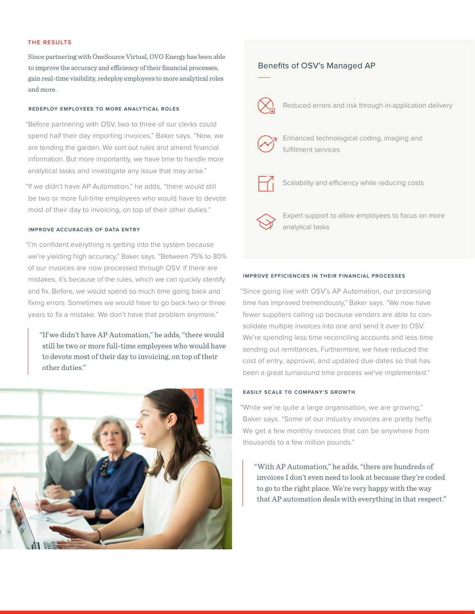#### **THE RESULTS**

Since partnering with OneSource Virtual, OVO Energy has been able to improve the accuracy and efficiency of their financial processes, gain real-time visibility, redeploy employees to more analytical roles and more.

#### **REDEPLOY EMPLOYEES TO MORE ANALYTICAL ROLES**

"Before partnering with OSV, two to three of our clerks could spend half their day importing invoices," Baker says. "Now, we are tending the garden. We sort out rules and amend financial information. But more importantly, we have time to handle more analytical tasks and investigate any issue that may arise."

"If we didn't have AP Automation," he adds, "there would still be two or more full-time employees who would have to devote most of their day to invoicing, on top of their other duties."

#### **IMPROVE ACCURACIES OF DATA ENTRY**

"I'm confident everything is getting into the system because we're yielding high accuracy," Baker says. "Between 75% to 80% of our invoices are now processed through OSV. If there are mistakes, it's because of the rules, which we can quickly identify and fix. Before, we would spend so much time going back and fixing errors. Sometimes we would have to go back two or three years to fix a mistake. We don't have that problem anymore."

"If we didn't have AP Automation," he adds, "there would still be two or more full-time employees who would have to devote most of their day to invoicing, on top of their other duties."



#### Benefits of OSV's Managed AP



Reduced errors and risk through in-application delivery



Enhanced technological coding, imaging and fulfillment services



Scalability and efficiency while reducing costs

Expert support to allow employees to focus on more analytical tasks

#### **IMPROVE EFFICIENCIES IN THEIR FINANCIAL PROCESSES**

"Since going live with OSV's AP Automation, our processing time has improved tremendously," Baker says. "We now have fewer suppliers calling up because venders are able to consolidate multiple invoices into one and send it over to OSV. We're spending less time reconciling accounts and less time sending out remittances. Furthermore, we have reduced the cost of entry, approval, and updated due dates so that has been a great turnaround time process we've implemented."

#### **EASILY SCALE TO COMPANY'S GROWTH**

"While we're quite a large organisation, we are growing," Baker says. "Some of our industry invoices are pretty hefty. We get a few monthly invoices that can be anywhere from thousands to a few million pounds."

"With AP Automation," he adds, "there are hundreds of invoices I don't even need to look at because they're coded to go to the right place. We're very happy with the way that AP automation deals with everything in that respect."